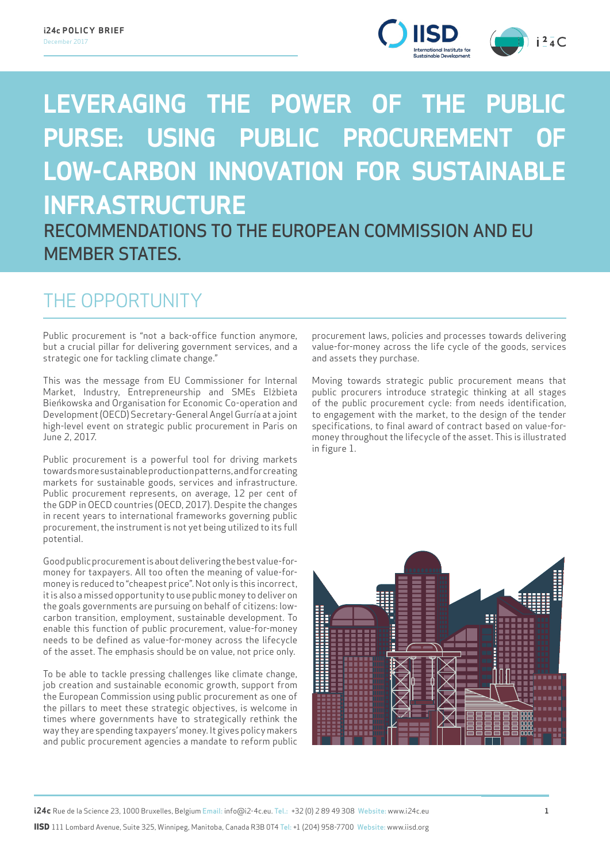

# **LEVERAGING THE POWER OF THE PUBLIC PURSE: USING PUBLIC PROCUREMENT LOW-CARBON INNOVATION FOR SUSTAINABLE INFRASTRUCTURE** RECOMMENDATIONS TO THE EUROPEAN COMMISSION AND EU

### MEMBER STATES.

### THE OPPORTUNITY

Public procurement is "not a back-office function anymore, but a crucial pillar for delivering government services, and a strategic one for tackling climate change."

This was the message from EU Commissioner for Internal Market, Industry, Entrepreneurship and SMEs Elżbieta Bieńkowska and Organisation for Economic Co-operation and Development (OECD) Secretary-General Angel Gurría at a joint high-level event on strategic public procurement in Paris on June 2, 2017.

Public procurement is a powerful tool for driving markets towards more sustainable production patterns, and for creating markets for sustainable goods, services and infrastructure. Public procurement represents, on average, 12 per cent of the GDP in OECD countries (OECD, 2017). Despite the changes in recent years to international frameworks governing public procurement, the instrument is not yet being utilized to its full potential.

Good public procurement is about delivering the best value-formoney for taxpayers. All too often the meaning of value-formoney is reduced to "cheapest price". Not only is this incorrect, it is also a missed opportunity to use public money to deliver on the goals governments are pursuing on behalf of citizens: lowcarbon transition, employment, sustainable development. To enable this function of public procurement, value-for-money needs to be defined as value-for-money across the lifecycle of the asset. The emphasis should be on value, not price only.

To be able to tackle pressing challenges like climate change, job creation and sustainable economic growth, support from the European Commission using public procurement as one of the pillars to meet these strategic objectives, is welcome in times where governments have to strategically rethink the way they are spending taxpayers' money. It gives policy makers and public procurement agencies a mandate to reform public

procurement laws, policies and processes towards delivering value-for-money across the life cycle of the goods, services and assets they purchase.

Moving towards strategic public procurement means that public procurers introduce strategic thinking at all stages of the public procurement cycle: from needs identification, to engagement with the market, to the design of the tender specifications, to final award of contract based on value-formoney throughout the lifecycle of the asset. This is illustrated in figure 1.

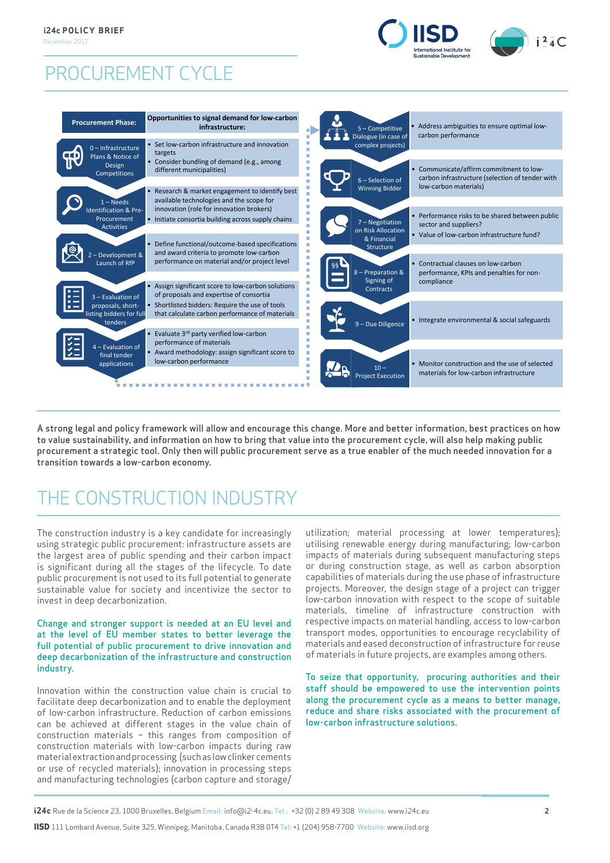### PROCUREMENT CYCLE





A strong legal and policy framework will allow and encourage this change. More and better information, best practices on how to value sustainability, and information on how to bring that value into the procurement cycle, will also help making public procurement a strategic tool. Only then will public procurement serve as a true enabler of the much needed innovation for a transition towards a low-carbon economy.

## THE CONSTRUCTION INDUSTRY

The construction industry is a key candidate for increasingly using strategic public procurement: infrastructure assets are the largest area of public spending and their carbon impact is significant during all the stages of the lifecycle. To date public procurement is not used to its full potential to generate sustainable value for society and incentivize the sector to invest in deep decarbonization.

#### Change and stronger support is needed at an EU level and at the level of EU member states to better leverage the full potential of public procurement to drive innovation and deep decarbonization of the infrastructure and construction industry.

Innovation within the construction value chain is crucial to facilitate deep decarbonization and to enable the deployment of low-carbon infrastructure. Reduction of carbon emissions can be achieved at different stages in the value chain of construction materials – this ranges from composition of construction materials with low-carbon impacts during raw material extraction and processing (such as low clinker cements or use of recycled materials); innovation in processing steps and manufacturing technologies (carbon capture and storage/ utilization; material processing at lower temperatures); utilising renewable energy during manufacturing; low-carbon impacts of materials during subsequent manufacturing steps or during construction stage, as well as carbon absorption capabilities of materials during the use phase of infrastructure projects. Moreover, the design stage of a project can trigger low-carbon innovation with respect to the scope of suitable materials, timeline of infrastructure construction with respective impacts on material handling, access to low-carbon transport modes, opportunities to encourage recyclability of materials and eased deconstruction of infrastructure for reuse of materials in future projects, are examples among others.

To seize that opportunity, procuring authorities and their staff should be empowered to use the intervention points along the procurement cycle as a means to better manage, reduce and share risks associated with the procurement of low-carbon infrastructure solutions.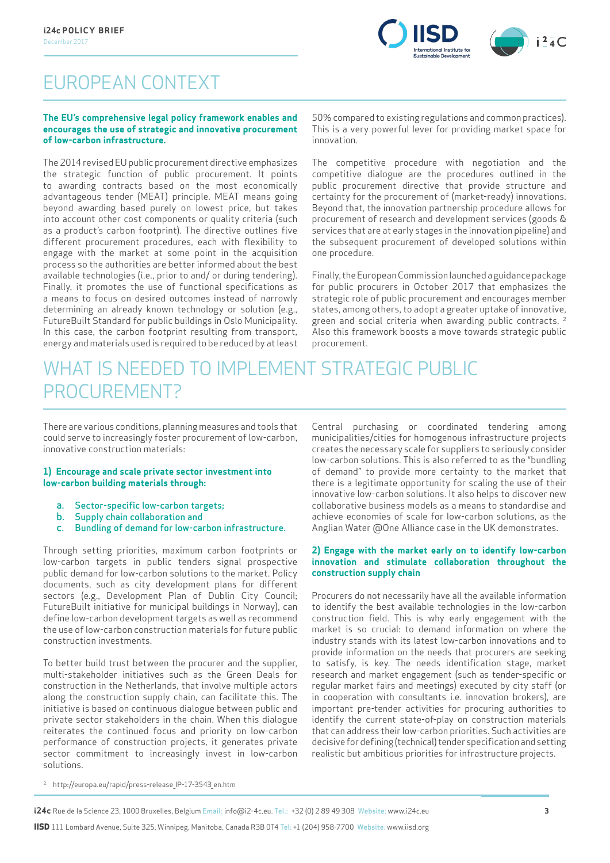

### EUROPEAN CONTEXT

#### **The EU's comprehensive legal policy framework enables and encourages the use of strategic and innovative procurement of low-carbon infrastructure.**

The 2014 revised EU public procurement directive emphasizes the strategic function of public procurement. It points to awarding contracts based on the most economically advantageous tender (MEAT) principle. MEAT means going beyond awarding based purely on lowest price, but takes into account other cost components or quality criteria (such as a product's carbon footprint). The directive outlines five different procurement procedures, each with flexibility to engage with the market at some point in the acquisition process so the authorities are better informed about the best available technologies (i.e., prior to and/ or during tendering). Finally, it promotes the use of functional specifications as a means to focus on desired outcomes instead of narrowly determining an already known technology or solution (e.g., FutureBuilt Standard for public buildings in Oslo Municipality. In this case, the carbon footprint resulting from transport, energy and materials used is required to be reduced by at least

50% compared to existing regulations and common practices). This is a very powerful lever for providing market space for innovation.

The competitive procedure with negotiation and the competitive dialogue are the procedures outlined in the public procurement directive that provide structure and certainty for the procurement of (market-ready) innovations. Beyond that, the innovation partnership procedure allows for procurement of research and development services (goods & services that are at early stages in the innovation pipeline) and the subsequent procurement of developed solutions within one procedure.

Finally, the European Commission launched a guidance package for public procurers in October 2017 that emphasizes the strategic role of public procurement and encourages member states, among others, to adopt a greater uptake of innovative, green and social criteria when awarding public contracts. 2 Also this framework boosts a move towards strategic public procurement.

### WHAT IS NEEDED TO IMPLEMENT STRATEGIC PUBLIC PROCUREMENT?

There are various conditions, planning measures and tools that could serve to increasingly foster procurement of low-carbon, innovative construction materials:

#### **1) Encourage and scale private sector investment into low-carbon building materials through:**

- 
- a. Sector-specific low-carbon targets;<br>b. Supply chain collaboration and Supply chain collaboration and
- Bundling of demand for low-carbon infrastructure.

Through setting priorities, maximum carbon footprints or low-carbon targets in public tenders signal prospective public demand for low-carbon solutions to the market. Policy documents, such as city development plans for different sectors (e.g., Development Plan of Dublin City Council; FutureBuilt initiative for municipal buildings in Norway), can define low-carbon development targets as well as recommend the use of low-carbon construction materials for future public construction investments.

To better build trust between the procurer and the supplier, multi-stakeholder initiatives such as the Green Deals for construction in the Netherlands, that involve multiple actors along the construction supply chain, can facilitate this. The initiative is based on continuous dialogue between public and private sector stakeholders in the chain. When this dialogue reiterates the continued focus and priority on low-carbon performance of construction projects, it generates private sector commitment to increasingly invest in low-carbon solutions.

Central purchasing or coordinated tendering among municipalities/cities for homogenous infrastructure projects creates the necessary scale for suppliers to seriously consider low-carbon solutions. This is also referred to as the "bundling of demand" to provide more certainty to the market that there is a legitimate opportunity for scaling the use of their innovative low-carbon solutions. It also helps to discover new collaborative business models as a means to standardise and achieve economies of scale for low-carbon solutions, as the Anglian Water @One Alliance case in the UK demonstrates.

#### **2) Engage with the market early on to identify low-carbon innovation and stimulate collaboration throughout the construction supply chain**

Procurers do not necessarily have all the available information to identify the best available technologies in the low-carbon construction field. This is why early engagement with the market is so crucial: to demand information on where the industry stands with its latest low-carbon innovations and to provide information on the needs that procurers are seeking to satisfy, is key. The needs identification stage, market research and market engagement (such as tender-specific or regular market fairs and meetings) executed by city staff (or in cooperation with consultants i.e. innovation brokers), are important pre-tender activities for procuring authorities to identify the current state-of-play on construction materials that can address their low-carbon priorities. Such activities are decisive for defining (technical) tender specification and setting realistic but ambitious priorities for infrastructure projects.

2. http://europa.eu/rapid/press-release\_IP-17-3543\_en.htm

**i24c** Rue de la Science 23, 1000 Bruxelles, Belgium Email: info@i2-4c.eu. Tel.: +32 (0) 2 89 49 308 Website: www.i24c.eu **3**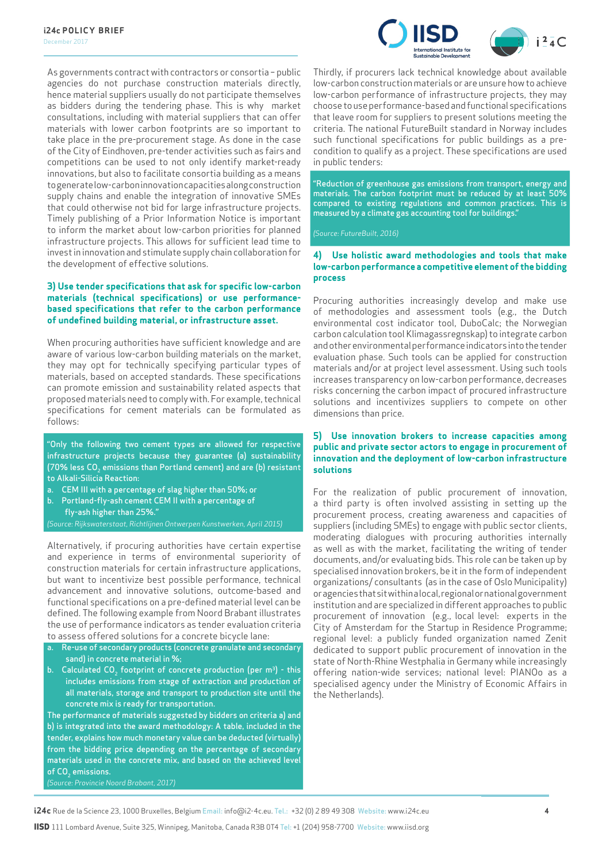

As governments contract with contractors or consortia – public agencies do not purchase construction materials directly, hence material suppliers usually do not participate themselves as bidders during the tendering phase. This is why market consultations, including with material suppliers that can offer materials with lower carbon footprints are so important to take place in the pre-procurement stage. As done in the case of the City of Eindhoven, pre-tender activities such as fairs and competitions can be used to not only identify market-ready innovations, but also to facilitate consortia building as a means to generate low-carbon innovation capacities along construction supply chains and enable the integration of innovative SMEs that could otherwise not bid for large infrastructure projects. Timely publishing of a Prior Information Notice is important to inform the market about low-carbon priorities for planned infrastructure projects. This allows for sufficient lead time to invest in innovation and stimulate supply chain collaboration for the development of effective solutions.

#### **3) Use tender specifications that ask for specific low-carbon materials (technical specifications) or use performancebased specifications that refer to the carbon performance of undefined building material, or infrastructure asset.**

When procuring authorities have sufficient knowledge and are aware of various low-carbon building materials on the market, they may opt for technically specifying particular types of materials, based on accepted standards. These specifications can promote emission and sustainability related aspects that proposed materials need to comply with. For example, technical specifications for cement materials can be formulated as follows:

"Only the following two cement types are allowed for respective infrastructure projects because they guarantee (a) sustainability (70% less CO<sub>2</sub> emissions than Portland cement) and are (b) resistant to Alkali-Silicia Reaction:

- a. CEM III with a percentage of slag higher than 50%; or
- b. Portland-fly-ash cement CEM II with a percentage of fly-ash higher than 25%."

*(Source: Rijkswaterstaat, Richtlijnen Ontwerpen Kunstwerken, April 2015)*

Alternatively, if procuring authorities have certain expertise and experience in terms of environmental superiority of construction materials for certain infrastructure applications, but want to incentivize best possible performance, technical advancement and innovative solutions, outcome-based and functional specifications on a pre-defined material level can be defined. The following example from Noord Brabant illustrates the use of performance indicators as tender evaluation criteria to assess offered solutions for a concrete bicycle lane:

- a. Re-use of secondary products (concrete granulate and secondary sand) in concrete material in %;
- b. Calculated CO<sub>2</sub> footprint of concrete production (per  $m^3$ ) this includes emissions from stage of extraction and production of all materials, storage and transport to production site until the concrete mix is ready for transportation.

The performance of materials suggested by bidders on criteria a) and b) is integrated into the award methodology: A table, included in the tender, explains how much monetary value can be deducted (virtually) from the bidding price depending on the percentage of secondary materials used in the concrete mix, and based on the achieved level of CO<sub>2</sub> emissions.

*(Source: Provincie Noord Brabant, 2017)*

Thirdly, if procurers lack technical knowledge about available low-carbon construction materials or are unsure how to achieve low-carbon performance of infrastructure projects, they may choose to use performance-based and functional specifications that leave room for suppliers to present solutions meeting the criteria. The national FutureBuilt standard in Norway includes such functional specifications for public buildings as a precondition to qualify as a project. These specifications are used in public tenders:

"Reduction of greenhouse gas emissions from transport, energy and materials. The carbon footprint must be reduced by at least 50% compared to existing regulations and common practices. This is measured by a climate gas accounting tool for buildings."

*(Source: FutureBuilt, 2016)* 

#### **4) Use holistic award methodologies and tools that make low-carbon performance a competitive element of the bidding process**

Procuring authorities increasingly develop and make use of methodologies and assessment tools (e.g., the Dutch environmental cost indicator tool, DuboCalc; the Norwegian carbon calculation tool Klimagassregnskap) to integrate carbon and other environmental performance indicators into the tender evaluation phase. Such tools can be applied for construction materials and/or at project level assessment. Using such tools increases transparency on low-carbon performance, decreases risks concerning the carbon impact of procured infrastructure solutions and incentivizes suppliers to compete on other dimensions than price.

#### **5) Use innovation brokers to increase capacities among public and private sector actors to engage in procurement of innovation and the deployment of low-carbon infrastructure solutions**

For the realization of public procurement of innovation, a third party is often involved assisting in setting up the procurement process, creating awareness and capacities of suppliers (including SMEs) to engage with public sector clients, moderating dialogues with procuring authorities internally as well as with the market, facilitating the writing of tender documents, and/or evaluating bids. This role can be taken up by specialised innovation brokers, be it in the form of independent organizations/ consultants (as in the case of Oslo Municipality) or agencies that sit within a local, regional or national government institution and are specialized in different approaches to public procurement of innovation (e.g., local level: experts in the City of Amsterdam for the Startup in Residence Programme; regional level: a publicly funded organization named Zenit dedicated to support public procurement of innovation in the state of North-Rhine Westphalia in Germany while increasingly offering nation-wide services; national level: PIANOo as a specialised agency under the Ministry of Economic Affairs in the Netherlands).

**i24c** Rue de la Science 23, 1000 Bruxelles, Belgium Email: info@i2-4c.eu. Tel.: +32 (0) 2 89 49 308 Website: www.i24c.eu **4**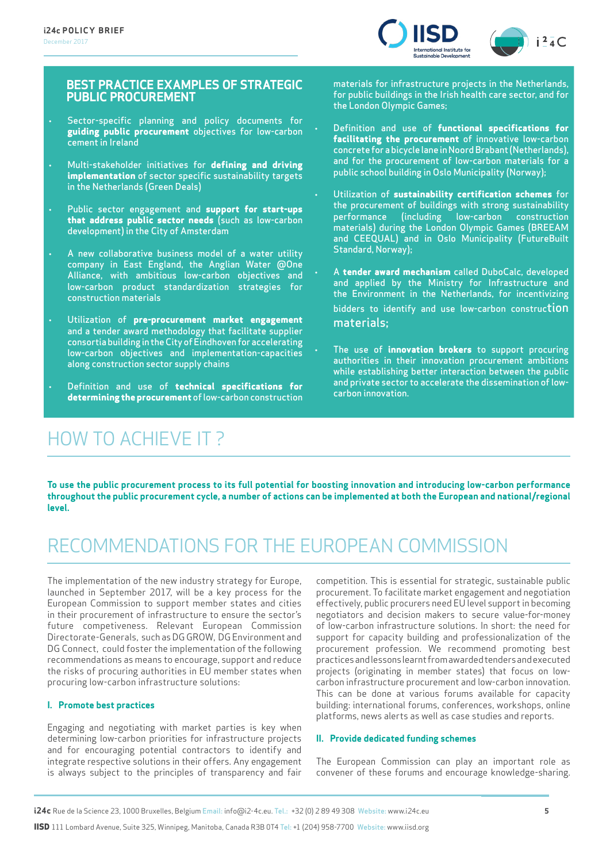

#### **BEST PRACTICE EXAMPLES OF STRATEGIC PUBLIC PROCUREMENT**

- Sector-specific planning and policy documents for **guiding public procurement** objectives for low-carbon cement in Ireland
- Multi-stakeholder initiatives for **defining and driving implementation** of sector specific sustainability targets in the Netherlands (Green Deals)
- Public sector engagement and **support for start-ups that address public sector needs** (such as low-carbon development) in the City of Amsterdam
- A new collaborative business model of a water utility company in East England, the Anglian Water @One Alliance, with ambitious low-carbon objectives and low-carbon product standardization strategies for construction materials
- Utilization of **pre-procurement market engagement**  and a tender award methodology that facilitate supplier consortia building in the City of Eindhoven for accelerating low-carbon objectives and implementation-capacities along construction sector supply chains
- Definition and use of **technical specifications for determining the procurement** of low-carbon construction

### HOW TO ACHIEVE IT ?

materials for infrastructure projects in the Netherlands, for public buildings in the Irish health care sector, and for the London Olympic Games;

- Definition and use of **functional specifications for facilitating the procurement** of innovative low-carbon concrete for a bicycle lane in Noord Brabant (Netherlands), and for the procurement of low-carbon materials for a public school building in Oslo Municipality (Norway);
- Utilization of **sustainability certification schemes** for the procurement of buildings with strong sustainability performance (including low-carbon construction materials) during the London Olympic Games (BREEAM and CEEQUAL) and in Oslo Municipality (FutureBuilt Standard, Norway);
- A **tender award mechanism** called DuboCalc, developed and applied by the Ministry for Infrastructure and the Environment in the Netherlands, for incentivizing bidders to identify and use low-carbon construction materials;
- The use of **innovation brokers** to support procuring authorities in their innovation procurement ambitions while establishing better interaction between the public and private sector to accelerate the dissemination of lowcarbon innovation.

**To use the public procurement process to its full potential for boosting innovation and introducing low-carbon performance throughout the public procurement cycle, a number of actions can be implemented at both the European and national/regional level.** 

### RECOMMENDATIONS FOR THE EUROPEAN COMMISSION

The implementation of the new industry strategy for Europe, launched in September 2017, will be a key process for the European Commission to support member states and cities in their procurement of infrastructure to ensure the sector's future competiveness. Relevant European Commission Directorate-Generals, such as DG GROW, DG Environment and DG Connect, could foster the implementation of the following recommendations as means to encourage, support and reduce the risks of procuring authorities in EU member states when procuring low-carbon infrastructure solutions:

#### **I. Promote best practices**

Engaging and negotiating with market parties is key when determining low-carbon priorities for infrastructure projects and for encouraging potential contractors to identify and integrate respective solutions in their offers. Any engagement is always subject to the principles of transparency and fair competition. This is essential for strategic, sustainable public procurement. To facilitate market engagement and negotiation effectively, public procurers need EU level support in becoming negotiators and decision makers to secure value-for-money of low-carbon infrastructure solutions. In short: the need for support for capacity building and professionalization of the procurement profession. We recommend promoting best practices and lessons learnt from awarded tenders and executed projects (originating in member states) that focus on lowcarbon infrastructure procurement and low-carbon innovation. This can be done at various forums available for capacity building: international forums, conferences, workshops, online platforms, news alerts as well as case studies and reports.

#### **II. Provide dedicated funding schemes**

The European Commission can play an important role as convener of these forums and encourage knowledge-sharing.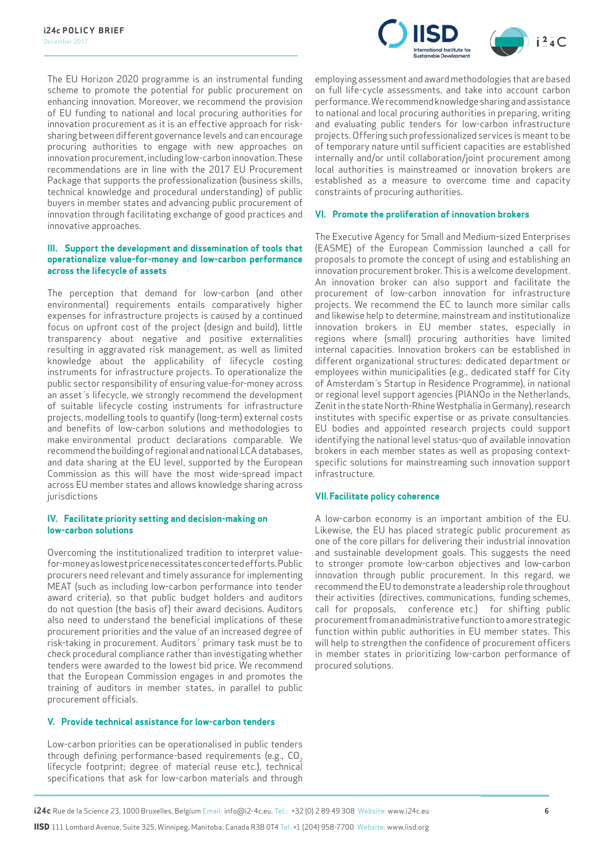

The EU Horizon 2020 programme is an instrumental funding scheme to promote the potential for public procurement on enhancing innovation. Moreover, we recommend the provision of EU funding to national and local procuring authorities for innovation procurement as it is an effective approach for risksharing between different governance levels and can encourage procuring authorities to engage with new approaches on innovation procurement, including low-carbon innovation. These recommendations are in line with the 2017 EU Procurement Package that supports the professionalization (business skills, technical knowledge and procedural understanding) of public buyers in member states and advancing public procurement of innovation through facilitating exchange of good practices and innovative approaches.

#### **III. Support the development and dissemination of tools that operationalize value-for-money and low-carbon performance across the lifecycle of assets**

The perception that demand for low-carbon (and other environmental) requirements entails comparatively higher expenses for infrastructure projects is caused by a continued focus on upfront cost of the project (design and build), little transparency about negative and positive externalities resulting in aggravated risk management, as well as limited knowledge about the applicability of lifecycle costing instruments for infrastructure projects. To operationalize the public sector responsibility of ensuring value-for-money across an asset´s lifecycle, we strongly recommend the development of suitable lifecycle costing instruments for infrastructure projects, modelling tools to quantify (long-term) external costs and benefits of low-carbon solutions and methodologies to make environmental product declarations comparable. We recommend the building of regional and national LCA databases, and data sharing at the EU level, supported by the European Commission as this will have the most wide-spread impact across EU member states and allows knowledge sharing across iurisdictions

#### **IV. Facilitate priority setting and decision-making on low-carbon solutions**

Overcoming the institutionalized tradition to interpret valuefor-money as lowest price necessitates concerted efforts. Public procurers need relevant and timely assurance for implementing MEAT (such as including low-carbon performance into tender award criteria), so that public budget holders and auditors do not question (the basis of) their award decisions. Auditors also need to understand the beneficial implications of these procurement priorities and the value of an increased degree of risk-taking in procurement. Auditors´ primary task must be to check procedural compliance rather than investigating whether tenders were awarded to the lowest bid price. We recommend that the European Commission engages in and promotes the training of auditors in member states, in parallel to public procurement officials.

#### **V. Provide technical assistance for low-carbon tenders**

Low-carbon priorities can be operationalised in public tenders through defining performance-based requirements (e.g.,  $CO<sub>2</sub>$ lifecycle footprint; degree of material reuse etc.), technical specifications that ask for low-carbon materials and through employing assessment and award methodologies that are based on full life-cycle assessments, and take into account carbon performance. We recommend knowledge sharing and assistance to national and local procuring authorities in preparing, writing and evaluating public tenders for low-carbon infrastructure projects. Offering such professionalized services is meant to be of temporary nature until sufficient capacities are established internally and/or until collaboration/joint procurement among local authorities is mainstreamed or innovation brokers are established as a measure to overcome time and capacity constraints of procuring authorities.

#### **VI. Promote the proliferation of innovation brokers**

The Executive Agency for Small and Medium-sized Enterprises (EASME) of the European Commission launched a call for proposals to promote the concept of using and establishing an innovation procurement broker. This is a welcome development. An innovation broker can also support and facilitate the procurement of low-carbon innovation for infrastructure projects. We recommend the EC to launch more similar calls and likewise help to determine, mainstream and institutionalize innovation brokers in EU member states, especially in regions where (small) procuring authorities have limited internal capacities. Innovation brokers can be established in different organizational structures: dedicated department or employees within municipalities (e.g., dedicated staff for City of Amsterdam´s Startup in Residence Programme), in national or regional level support agencies (PIANOo in the Netherlands, Zenit in the state North-Rhine Westphalia in Germany), research institutes with specific expertise or as private consultancies. EU bodies and appointed research projects could support identifying the national level status-quo of available innovation brokers in each member states as well as proposing contextspecific solutions for mainstreaming such innovation support infrastructure.

#### **VII.Facilitate policy coherence**

A low-carbon economy is an important ambition of the EU. Likewise, the EU has placed strategic public procurement as one of the core pillars for delivering their industrial innovation and sustainable development goals. This suggests the need to stronger promote low-carbon objectives and low-carbon innovation through public procurement. In this regard, we recommend the EU to demonstrate a leadership role throughout their activities (directives, communications, funding schemes, call for proposals, conference etc.) for shifting public procurement from an administrative function to a more strategic function within public authorities in EU member states. This will help to strengthen the confidence of procurement officers in member states in prioritizing low-carbon performance of procured solutions.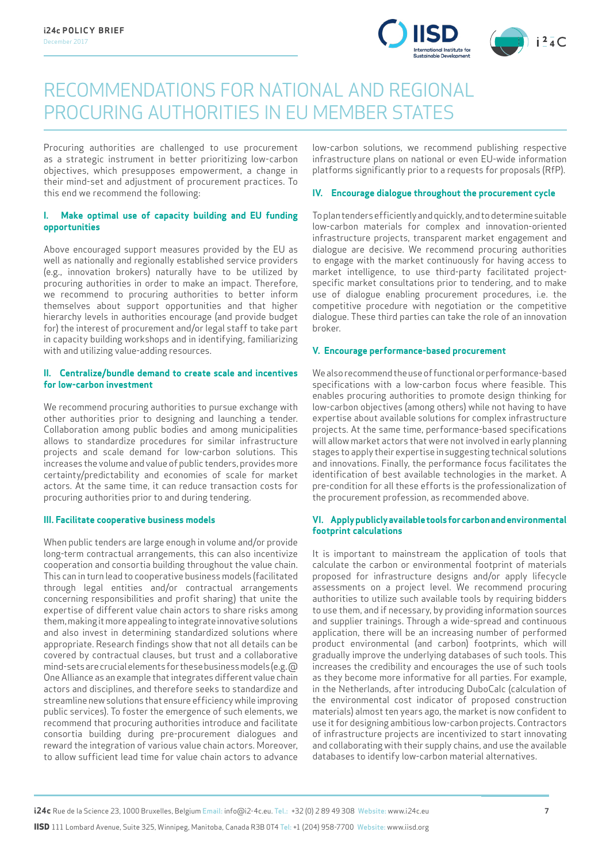

### RECOMMENDATIONS FOR NATIONAL AND REGIONAL PROCURING AUTHORITIES IN EU MEMBER STATES

Procuring authorities are challenged to use procurement as a strategic instrument in better prioritizing low-carbon objectives, which presupposes empowerment, a change in their mind-set and adjustment of procurement practices. To this end we recommend the following:

#### **I. Make optimal use of capacity building and EU funding opportunities**

Above encouraged support measures provided by the EU as well as nationally and regionally established service providers (e.g., innovation brokers) naturally have to be utilized by procuring authorities in order to make an impact. Therefore, we recommend to procuring authorities to better inform themselves about support opportunities and that higher hierarchy levels in authorities encourage (and provide budget for) the interest of procurement and/or legal staff to take part in capacity building workshops and in identifying, familiarizing with and utilizing value-adding resources.

#### **II. Centralize/bundle demand to create scale and incentives for low-carbon investment**

We recommend procuring authorities to pursue exchange with other authorities prior to designing and launching a tender. Collaboration among public bodies and among municipalities allows to standardize procedures for similar infrastructure projects and scale demand for low-carbon solutions. This increases the volume and value of public tenders, provides more certainty/predictability and economies of scale for market actors. At the same time, it can reduce transaction costs for procuring authorities prior to and during tendering.

#### **III. Facilitate cooperative business models**

When public tenders are large enough in volume and/or provide long-term contractual arrangements, this can also incentivize cooperation and consortia building throughout the value chain. This can in turn lead to cooperative business models (facilitated through legal entities and/or contractual arrangements concerning responsibilities and profit sharing) that unite the expertise of different value chain actors to share risks among them, making it more appealing to integrate innovative solutions and also invest in determining standardized solutions where appropriate. Research findings show that not all details can be covered by contractual clauses, but trust and a collaborative mind-sets are crucial elements for these business models (e.g. @ One Alliance as an example that integrates different value chain actors and disciplines, and therefore seeks to standardize and streamline new solutions that ensure efficiency while improving public services). To foster the emergence of such elements, we recommend that procuring authorities introduce and facilitate consortia building during pre-procurement dialogues and reward the integration of various value chain actors. Moreover, to allow sufficient lead time for value chain actors to advance

low-carbon solutions, we recommend publishing respective infrastructure plans on national or even EU-wide information platforms significantly prior to a requests for proposals (RfP).

#### **IV. Encourage dialogue throughout the procurement cycle**

To plan tenders efficiently and quickly, and to determine suitable low-carbon materials for complex and innovation-oriented infrastructure projects, transparent market engagement and dialogue are decisive. We recommend procuring authorities to engage with the market continuously for having access to market intelligence, to use third-party facilitated projectspecific market consultations prior to tendering, and to make use of dialogue enabling procurement procedures, i.e. the competitive procedure with negotiation or the competitive dialogue. These third parties can take the role of an innovation broker.

#### **V. Encourage performance-based procurement**

We also recommend the use of functional or performance-based specifications with a low-carbon focus where feasible. This enables procuring authorities to promote design thinking for low-carbon objectives (among others) while not having to have expertise about available solutions for complex infrastructure projects. At the same time, performance-based specifications will allow market actors that were not involved in early planning stages to apply their expertise in suggesting technical solutions and innovations. Finally, the performance focus facilitates the identification of best available technologies in the market. A pre-condition for all these efforts is the professionalization of the procurement profession, as recommended above.

#### **VI. Apply publicly available tools for carbon and environmental footprint calculations**

It is important to mainstream the application of tools that calculate the carbon or environmental footprint of materials proposed for infrastructure designs and/or apply lifecycle assessments on a project level. We recommend procuring authorities to utilize such available tools by requiring bidders to use them, and if necessary, by providing information sources and supplier trainings. Through a wide-spread and continuous application, there will be an increasing number of performed product environmental (and carbon) footprints, which will gradually improve the underlying databases of such tools. This increases the credibility and encourages the use of such tools as they become more informative for all parties. For example, in the Netherlands, after introducing DuboCalc (calculation of the environmental cost indicator of proposed construction materials) almost ten years ago, the market is now confident to use it for designing ambitious low-carbon projects. Contractors of infrastructure projects are incentivized to start innovating and collaborating with their supply chains, and use the available databases to identify low-carbon material alternatives.